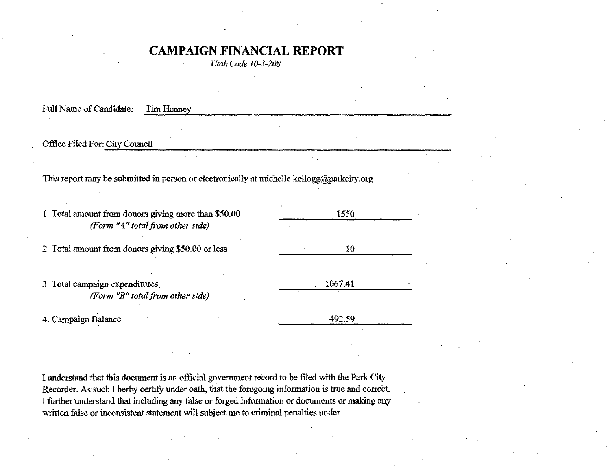## **CAMPAIGN FINANCIAL REPORT**

*Utah Code 10-3-208* 

| Full Name of Candidate:<br>Tim Henney                                                       |         |  |
|---------------------------------------------------------------------------------------------|---------|--|
| Office Filed For: City Council                                                              |         |  |
|                                                                                             |         |  |
| This report may be submitted in person or electronically at michelle.kellogg@parkcity.org   |         |  |
| 1. Total amount from donors giving more than \$50.00<br>(Form $'A''$ total from other side) | 1550    |  |
| 2. Total amount from donors giving \$50.00 or less                                          | 10      |  |
| 3. Total campaign expenditures,<br><b>Form</b> $\mathbb{T}B^n$ total from other side)       | 1067.41 |  |
| 4. Campaign Balance                                                                         | 492.59  |  |

I understand that this document is an official government record to be filed with the Park City Recorder. *As* such I herby certify under oath, that the foregoing information is true and correct. I further understand that including any false or forged information or documents *ot* making any written false or inconsistent statement will subject me to criminal penalties under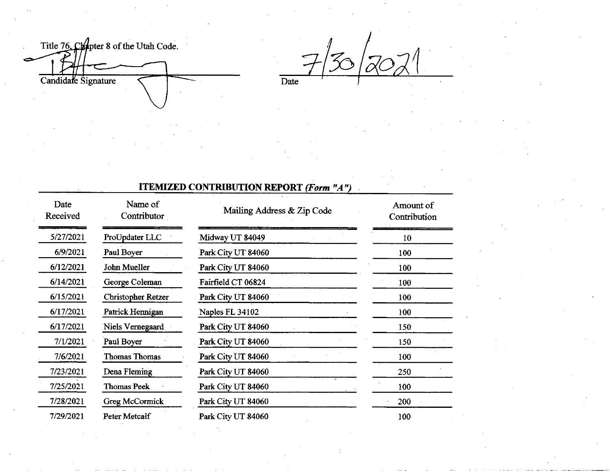Title 76, Chapter 8 of the Utah Code.

**Date** 

## **ITEMIZED CONTRIBUTION REPORT (Form "A")**

| Date<br>Received | Name of<br>Contributor | Mailing Address & Zip Code | Amount of<br>Contribution |
|------------------|------------------------|----------------------------|---------------------------|
| 5/27/2021        | ProUpdater LLC         | Midway UT 84049            | 10                        |
| 6/9/2021         | Paul Boyer             | Park City UT 84060         | 100                       |
| 6/12/2021        | John Mueller           | Park City UT 84060         | 100                       |
| 6/14/2021        | George Coleman         | Fairfield CT 06824         | 100                       |
| 6/15/2021        | Christopher Retzer     | Park City UT 84060         | 100                       |
| 6/17/2021        | Patrick Hennigan       | Naples FL 34102            | 100                       |
| 6/17/2021        | Niels Vernegaard       | Park City UT 84060         | 150                       |
| 7/1/2021         | Paul Boyer             | Park City UT 84060         | 150                       |
| 7/6/2021         | <b>Thomas Thomas</b>   | Park City UT 84060         | 100                       |
| 7/23/2021        | Dena Fleming           | Park City UT 84060         | 250                       |
| 7/25/2021        | <b>Thomas Peek</b>     | Park City UT 84060         | 100                       |
| 7/28/2021        | Greg McCormick         | Park City UT 84060         | 200                       |
| 7/29/2021        | Peter Metcalf          | Park City UT 84060         | 100                       |